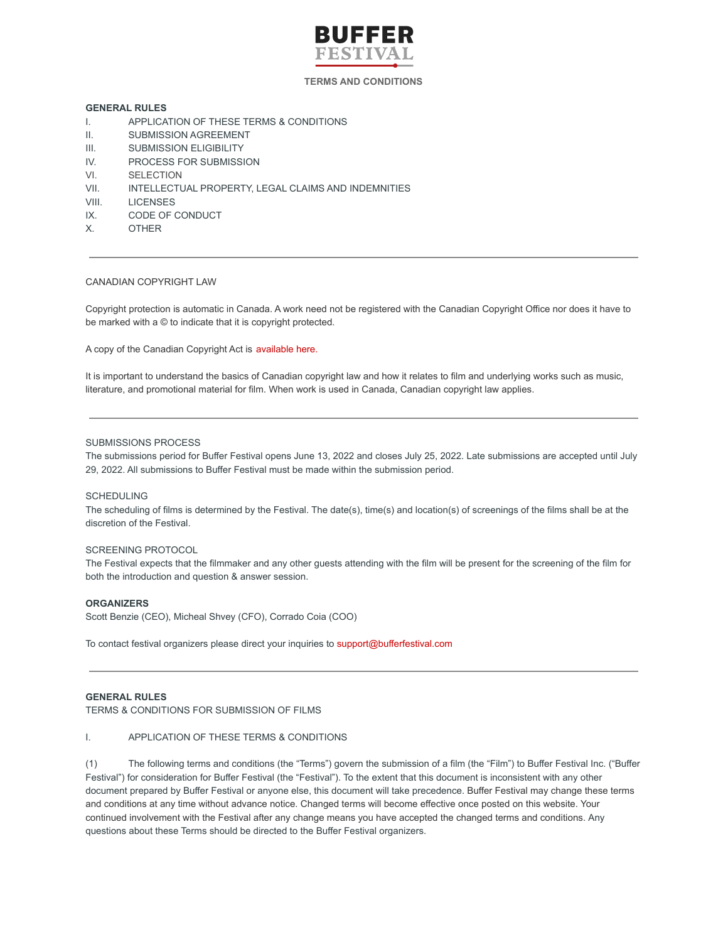

## **TERMS AND CONDITIONS**

# **GENERAL RULES**

- I. APPLICATION OF THESE TERMS & CONDITIONS
- II. SUBMISSION AGREEMENT
- III. SUBMISSION ELIGIBILITY
- IV. PROCESS FOR SUBMISSION
- VI. SELECTION
- VII. INTELLECTUAL PROPERTY, LEGAL CLAIMS AND INDEMNITIES
- VIII. LICENSES
- IX. CODE OF CONDUCT
- X. OTHER

## CANADIAN COPYRIGHT LAW

Copyright protection is automatic in Canada. A work need not be registered with the Canadian Copyright Office nor does it have to be marked with a © to indicate that it is copyright protected.

A copy of the Canadian Copyright Act is [available](http://laws-lois.justice.gc.ca/eng/acts/C-42/index.html) here.

It is important to understand the basics of Canadian copyright law and how it relates to film and underlying works such as music, literature, and promotional material for film. When work is used in Canada, Canadian copyright law applies.

#### SUBMISSIONS PROCESS

The submissions period for Buffer Festival opens June 13, 2022 and closes July 25, 2022. Late submissions are accepted until July 29, 2022. All submissions to Buffer Festival must be made within the submission period.

### SCHEDULING

The scheduling of films is determined by the Festival. The date(s), time(s) and location(s) of screenings of the films shall be at the discretion of the Festival.

### SCREENING PROTOCOL

The Festival expects that the filmmaker and any other guests attending with the film will be present for the screening of the film for both the introduction and question & answer session.

## **ORGANIZERS**

Scott Benzie (CEO), Micheal Shvey (CFO), Corrado Coia (COO)

To contact festival organizers please direct your inquiries to support@bufferfestival.com

#### **GENERAL RULES**

TERMS & CONDITIONS FOR SUBMISSION OF FILMS

#### I. APPLICATION OF THESE TERMS & CONDITIONS

(1) The following terms and conditions (the "Terms") govern the submission of a film (the "Film") to Buffer Festival Inc. ("Buffer Festival") for consideration for Buffer Festival (the "Festival"). To the extent that this document is inconsistent with any other document prepared by Buffer Festival or anyone else, this document will take precedence. Buffer Festival may change these terms and conditions at any time without advance notice. Changed terms will become effective once posted on this website. Your continued involvement with the Festival after any change means you have accepted the changed terms and conditions. Any questions about these Terms should be directed to the Buffer Festival organizers.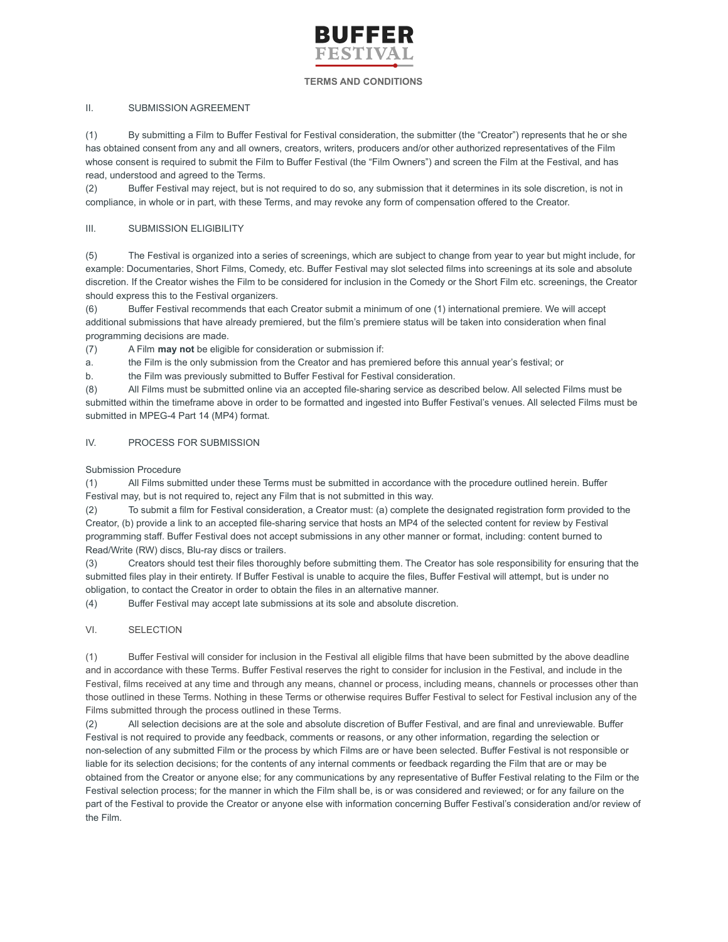

## **TERMS AND CONDITIONS**

# II. SUBMISSION AGREEMENT

(1) By submitting a Film to Buffer Festival for Festival consideration, the submitter (the "Creator") represents that he or she has obtained consent from any and all owners, creators, writers, producers and/or other authorized representatives of the Film whose consent is required to submit the Film to Buffer Festival (the "Film Owners") and screen the Film at the Festival, and has read, understood and agreed to the Terms.

(2) Buffer Festival may reject, but is not required to do so, any submission that it determines in its sole discretion, is not in compliance, in whole or in part, with these Terms, and may revoke any form of compensation offered to the Creator.

# III. SUBMISSION ELIGIBILITY

(5) The Festival is organized into a series of screenings, which are subject to change from year to year but might include, for example: Documentaries, Short Films, Comedy, etc. Buffer Festival may slot selected films into screenings at its sole and absolute discretion. If the Creator wishes the Film to be considered for inclusion in the Comedy or the Short Film etc. screenings, the Creator should express this to the Festival organizers.

(6) Buffer Festival recommends that each Creator submit a minimum of one (1) international premiere. We will accept additional submissions that have already premiered, but the film's premiere status will be taken into consideration when final programming decisions are made.

(7) A Film **may not** be eligible for consideration or submission if:

a. the Film is the only submission from the Creator and has premiered before this annual year's festival; or

b. the Film was previously submitted to Buffer Festival for Festival consideration.

(8) All Films must be submitted online via an accepted file-sharing service as described below. All selected Films must be submitted within the timeframe above in order to be formatted and ingested into Buffer Festival's venues. All selected Films must be submitted in MPEG-4 Part 14 (MP4) format.

# IV. PROCESS FOR SUBMISSION

Submission Procedure

(1) All Films submitted under these Terms must be submitted in accordance with the procedure outlined herein. Buffer Festival may, but is not required to, reject any Film that is not submitted in this way.

(2) To submit a film for Festival consideration, a Creator must: (a) complete the designated registration form provided to the Creator, (b) provide a link to an accepted file-sharing service that hosts an MP4 of the selected content for review by Festival programming staff. Buffer Festival does not accept submissions in any other manner or format, including: content burned to Read/Write (RW) discs, Blu-ray discs or trailers.

(3) Creators should test their files thoroughly before submitting them. The Creator has sole responsibility for ensuring that the submitted files play in their entirety. If Buffer Festival is unable to acquire the files, Buffer Festival will attempt, but is under no obligation, to contact the Creator in order to obtain the files in an alternative manner.

(4) Buffer Festival may accept late submissions at its sole and absolute discretion.

## VI. SELECTION

(1) Buffer Festival will consider for inclusion in the Festival all eligible films that have been submitted by the above deadline and in accordance with these Terms. Buffer Festival reserves the right to consider for inclusion in the Festival, and include in the Festival, films received at any time and through any means, channel or process, including means, channels or processes other than those outlined in these Terms. Nothing in these Terms or otherwise requires Buffer Festival to select for Festival inclusion any of the Films submitted through the process outlined in these Terms.

(2) All selection decisions are at the sole and absolute discretion of Buffer Festival, and are final and unreviewable. Buffer Festival is not required to provide any feedback, comments or reasons, or any other information, regarding the selection or non-selection of any submitted Film or the process by which Films are or have been selected. Buffer Festival is not responsible or liable for its selection decisions; for the contents of any internal comments or feedback regarding the Film that are or may be obtained from the Creator or anyone else; for any communications by any representative of Buffer Festival relating to the Film or the Festival selection process; for the manner in which the Film shall be, is or was considered and reviewed; or for any failure on the part of the Festival to provide the Creator or anyone else with information concerning Buffer Festival's consideration and/or review of the Film.